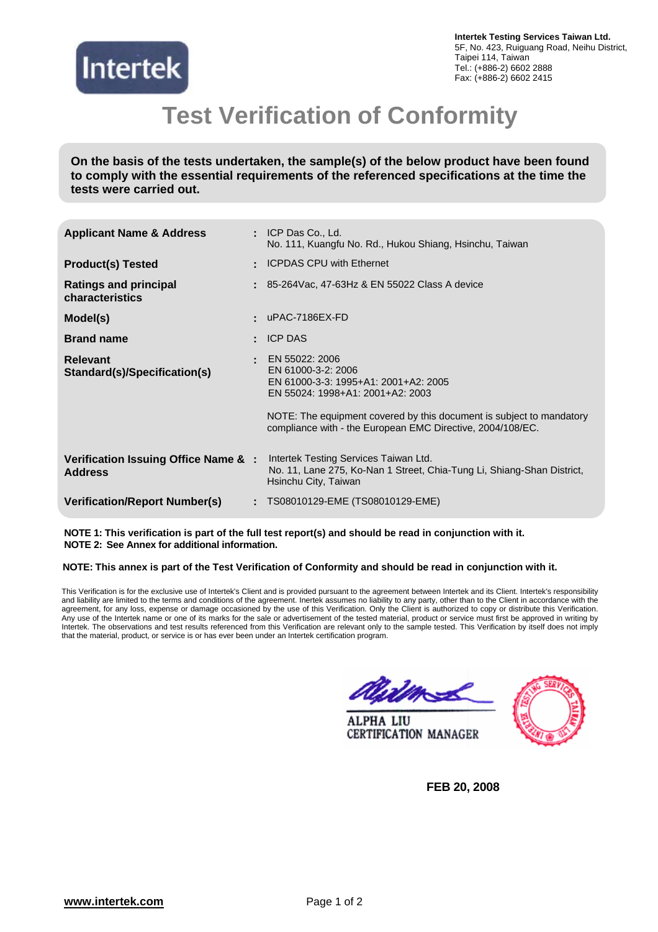

**Intertek Testing Services Taiwan Ltd.**  5F, No. 423, Ruiguang Road, Neihu District, Taipei 114, Taiwan Tel.: (+886-2) 6602 2888 Fax: (+886-2) 6602 2415

## **Test Verification of Conformity**

**On the basis of the tests undertaken, the sample(s) of the below product have been found to comply with the essential requirements of the referenced specifications at the time the tests were carried out.**

| <b>Applicant Name &amp; Address</b>                   | $:$ ICP Das Co., Ld.<br>No. 111, Kuangfu No. Rd., Hukou Shiang, Hsinchu, Taiwan                                                                                                          |
|-------------------------------------------------------|------------------------------------------------------------------------------------------------------------------------------------------------------------------------------------------|
| <b>Product(s) Tested</b>                              | : ICPDAS CPU with Ethernet                                                                                                                                                               |
| <b>Ratings and principal</b><br>characteristics       | $\pm$ 85-264Vac, 47-63Hz & EN 55022 Class A device                                                                                                                                       |
| Model(s)                                              | uPAC-7186EX-FD                                                                                                                                                                           |
| <b>Brand name</b>                                     | <b>ICP DAS</b>                                                                                                                                                                           |
| <b>Relevant</b><br>Standard(s)/Specification(s)       | EN 55022: 2006<br>EN 61000-3-2: 2006<br>EN 61000-3-3: 1995+A1: 2001+A2: 2005<br>EN 55024: 1998+A1: 2001+A2: 2003<br>NOTE: The equipment covered by this document is subject to mandatory |
|                                                       | compliance with - the European EMC Directive, 2004/108/EC.                                                                                                                               |
| Verification Issuing Office Name &:<br><b>Address</b> | Intertek Testing Services Taiwan Ltd.<br>No. 11, Lane 275, Ko-Nan 1 Street, Chia-Tung Li, Shiang-Shan District,<br>Hsinchu City, Taiwan                                                  |
| <b>Verification/Report Number(s)</b>                  | TS08010129-EME (TS08010129-EME)                                                                                                                                                          |

**NOTE 1: This verification is part of the full test report(s) and should be read in conjunction with it. NOTE 2: See Annex for additional information.** 

#### **NOTE: This annex is part of the Test Verification of Conformity and should be read in conjunction with it.**

This Verification is for the exclusive use of Intertek's Client and is provided pursuant to the agreement between Intertek and its Client. Intertek's responsibility and liability are limited to the terms and conditions of the agreement. Inertek assumes no liability to any party, other than to the Client in accordance with the agreement, for any loss, expense or damage occasioned by the use of this Verification. Only the Client is authorized to copy or distribute this Verification. Any use of the Intertek name or one of its marks for the sale or advertisement of the tested material, product or service must first be approved in writing by Intertek. The observations and test results referenced from this Verification are relevant only to the sample tested. This Verification by itself does not imply that the material, product, or service is or has ever been under an Intertek certification program.

amal

**ALPHA LIU CERTIFICATION MANAGER** 



**FEB 20, 2008**